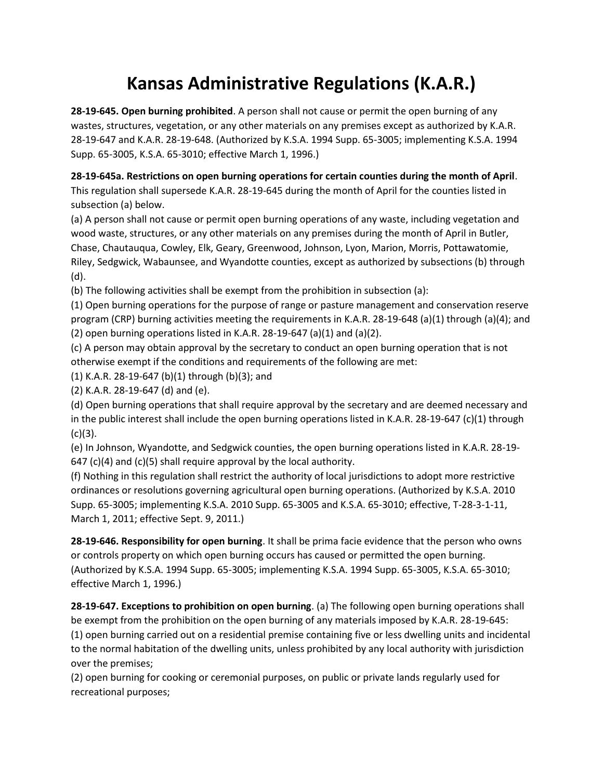## **Kansas Administrative Regulations (K.A.R.)**

**28-19-645. Open burning prohibited**. A person shall not cause or permit the open burning of any wastes, structures, vegetation, or any other materials on any premises except as authorized by K.A.R. 28-19-647 and K.A.R. 28-19-648. (Authorized by K.S.A. 1994 Supp. 65-3005; implementing K.S.A. 1994 Supp. 65-3005, K.S.A. 65-3010; effective March 1, 1996.)

**28-19-645a. Restrictions on open burning operations for certain counties during the month of April**. This regulation shall supersede K.A.R. 28-19-645 during the month of April for the counties listed in subsection (a) below.

(a) A person shall not cause or permit open burning operations of any waste, including vegetation and wood waste, structures, or any other materials on any premises during the month of April in Butler, Chase, Chautauqua, Cowley, Elk, Geary, Greenwood, Johnson, Lyon, Marion, Morris, Pottawatomie, Riley, Sedgwick, Wabaunsee, and Wyandotte counties, except as authorized by subsections (b) through (d).

(b) The following activities shall be exempt from the prohibition in subsection (a):

(1) Open burning operations for the purpose of range or pasture management and conservation reserve program (CRP) burning activities meeting the requirements in K.A.R. 28-19-648 (a)(1) through (a)(4); and (2) open burning operations listed in K.A.R. 28-19-647 (a)(1) and (a)(2).

(c) A person may obtain approval by the secretary to conduct an open burning operation that is not otherwise exempt if the conditions and requirements of the following are met:

(1) K.A.R. 28-19-647 (b)(1) through (b)(3); and

(2) K.A.R. 28-19-647 (d) and (e).

(d) Open burning operations that shall require approval by the secretary and are deemed necessary and in the public interest shall include the open burning operations listed in K.A.R. 28-19-647 (c)(1) through  $(c)(3)$ .

(e) In Johnson, Wyandotte, and Sedgwick counties, the open burning operations listed in K.A.R. 28-19- 647 (c)(4) and (c)(5) shall require approval by the local authority.

(f) Nothing in this regulation shall restrict the authority of local jurisdictions to adopt more restrictive ordinances or resolutions governing agricultural open burning operations. (Authorized by K.S.A. 2010 Supp. 65-3005; implementing K.S.A. 2010 Supp. 65-3005 and K.S.A. 65-3010; effective, T-28-3-1-11, March 1, 2011; effective Sept. 9, 2011.)

**28-19-646. Responsibility for open burning**. It shall be prima facie evidence that the person who owns or controls property on which open burning occurs has caused or permitted the open burning. (Authorized by K.S.A. 1994 Supp. 65-3005; implementing K.S.A. 1994 Supp. 65-3005, K.S.A. 65-3010; effective March 1, 1996.)

**28-19-647. Exceptions to prohibition on open burning**. (a) The following open burning operations shall be exempt from the prohibition on the open burning of any materials imposed by K.A.R. 28-19-645: (1) open burning carried out on a residential premise containing five or less dwelling units and incidental to the normal habitation of the dwelling units, unless prohibited by any local authority with jurisdiction over the premises;

(2) open burning for cooking or ceremonial purposes, on public or private lands regularly used for recreational purposes;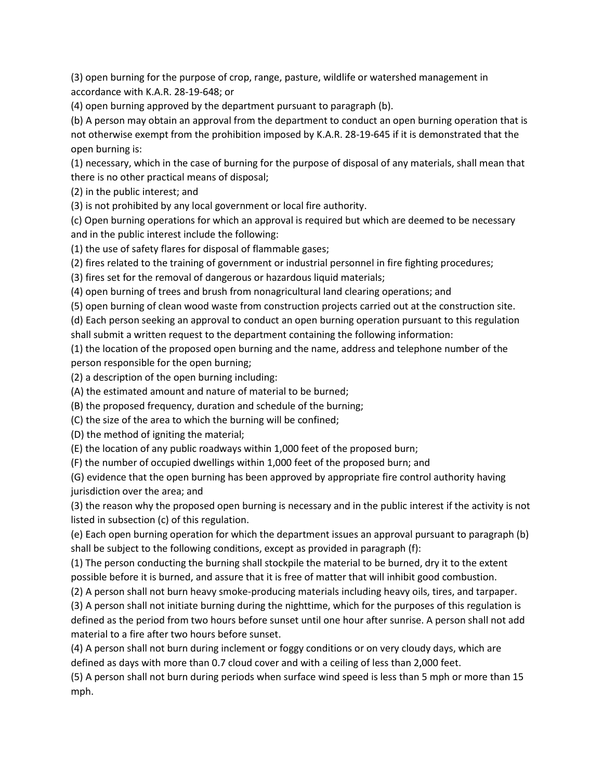(3) open burning for the purpose of crop, range, pasture, wildlife or watershed management in accordance with K.A.R. 28-19-648; or

(4) open burning approved by the department pursuant to paragraph (b).

(b) A person may obtain an approval from the department to conduct an open burning operation that is not otherwise exempt from the prohibition imposed by K.A.R. 28-19-645 if it is demonstrated that the open burning is:

(1) necessary, which in the case of burning for the purpose of disposal of any materials, shall mean that there is no other practical means of disposal;

(2) in the public interest; and

(3) is not prohibited by any local government or local fire authority.

(c) Open burning operations for which an approval is required but which are deemed to be necessary and in the public interest include the following:

(1) the use of safety flares for disposal of flammable gases;

(2) fires related to the training of government or industrial personnel in fire fighting procedures;

(3) fires set for the removal of dangerous or hazardous liquid materials;

(4) open burning of trees and brush from nonagricultural land clearing operations; and

(5) open burning of clean wood waste from construction projects carried out at the construction site.

(d) Each person seeking an approval to conduct an open burning operation pursuant to this regulation

shall submit a written request to the department containing the following information:

(1) the location of the proposed open burning and the name, address and telephone number of the person responsible for the open burning;

(2) a description of the open burning including:

(A) the estimated amount and nature of material to be burned;

(B) the proposed frequency, duration and schedule of the burning;

(C) the size of the area to which the burning will be confined;

(D) the method of igniting the material;

(E) the location of any public roadways within 1,000 feet of the proposed burn;

(F) the number of occupied dwellings within 1,000 feet of the proposed burn; and

(G) evidence that the open burning has been approved by appropriate fire control authority having jurisdiction over the area; and

(3) the reason why the proposed open burning is necessary and in the public interest if the activity is not listed in subsection (c) of this regulation.

(e) Each open burning operation for which the department issues an approval pursuant to paragraph (b) shall be subject to the following conditions, except as provided in paragraph (f):

(1) The person conducting the burning shall stockpile the material to be burned, dry it to the extent possible before it is burned, and assure that it is free of matter that will inhibit good combustion.

(2) A person shall not burn heavy smoke-producing materials including heavy oils, tires, and tarpaper.

(3) A person shall not initiate burning during the nighttime, which for the purposes of this regulation is defined as the period from two hours before sunset until one hour after sunrise. A person shall not add material to a fire after two hours before sunset.

(4) A person shall not burn during inclement or foggy conditions or on very cloudy days, which are defined as days with more than 0.7 cloud cover and with a ceiling of less than 2,000 feet.

(5) A person shall not burn during periods when surface wind speed is less than 5 mph or more than 15 mph.